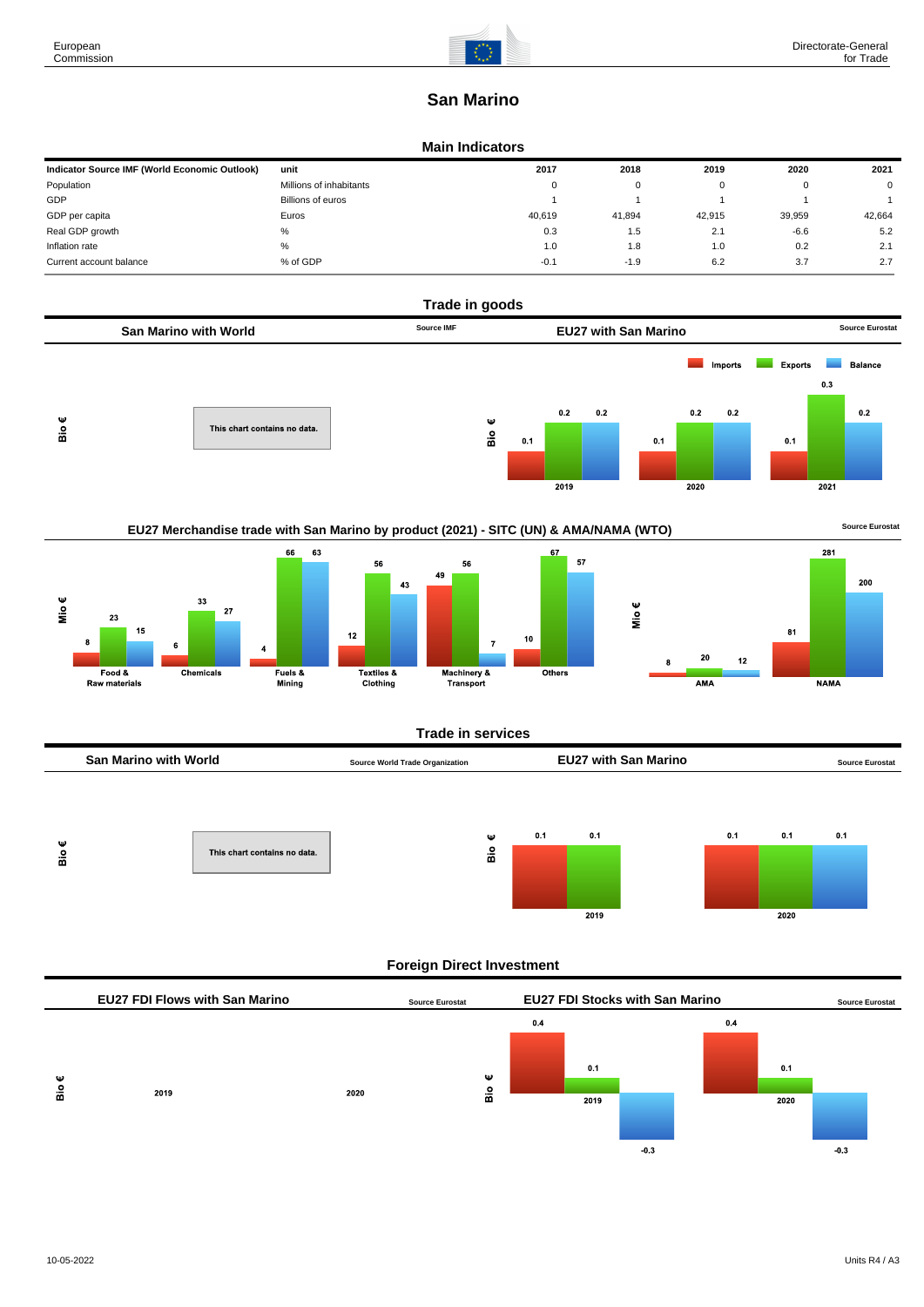# **San Marino**

#### **Main Indicators**

| Indicator Source IMF (World Economic Outlook) | unit                    | 2017   | 2018   | 2019   | 2020   | 2021     |
|-----------------------------------------------|-------------------------|--------|--------|--------|--------|----------|
| Population                                    | Millions of inhabitants | 0      | 0      |        |        | $\Omega$ |
| GDP                                           | Billions of euros       |        |        |        |        |          |
| GDP per capita                                | Euros                   | 40.619 | 41.894 | 42.915 | 39,959 | 42.664   |
| Real GDP growth                               | %                       | 0.3    | 1.5    | 2.1    | $-6.6$ | 5.2      |
| Inflation rate                                | %                       | 1.0    | 1.8    | 1.0    | 0.2    | 2.1      |
| Current account balance                       | % of GDP                | $-0.1$ | $-1.9$ | 6.2    | 3.7    | 2.7      |



| San Marino with World | <b>Source World Trade Organization</b> | <b>EU27 with San Marino</b> | <b>Source Eurostat</b> |
|-----------------------|----------------------------------------|-----------------------------|------------------------|
|                       |                                        |                             |                        |
|                       |                                        |                             |                        |



## **Foreign Direct Investment**